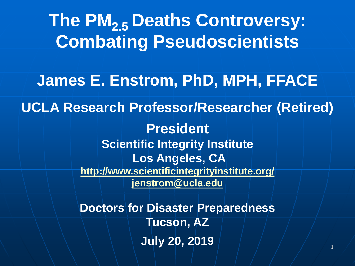1 **The PM2.5 Deaths Controversy: Combating Pseudoscientists James E. Enstrom, PhD, MPH, FFACE UCLA Research Professor/Researcher (Retired) President Scientific Integrity Institute Los Angeles, CA <http://www.scientificintegrityinstitute.org/> [jenstrom@ucla.edu](mailto:jenstrom@ucla.edu) Doctors for Disaster Preparedness Tucson, AZ July 20, 2019**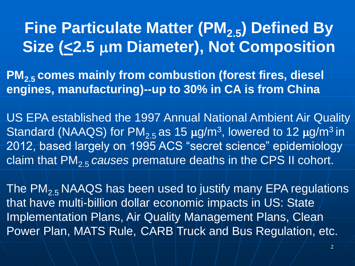# **Fine Particulate Matter (PM2.5) Defined By Size (<2.5 m Diameter), Not Composition**

**PM2.5 comes mainly from combustion (forest fires, diesel engines, manufacturing)--up to 30% in CA is from China** 

US EPA established the 1997 Annual National Ambient Air Quality Standard (NAAQS) for  $PM_{2.5}$  as 15  $\mu$ g/m<sup>3</sup>, lowered to 12  $\mu$ g/m<sup>3</sup> in 2012, based largely on 1995 ACS "secret science" epidemiology claim that PM2.5 *causes* premature deaths in the CPS II cohort.

The  $PM_{2,5}$  NAAQS has been used to justify many EPA regulations that have multi-billion dollar economic impacts in US: State Implementation Plans, Air Quality Management Plans, Clean Power Plan, MATS Rule, CARB Truck and Bus Regulation, etc.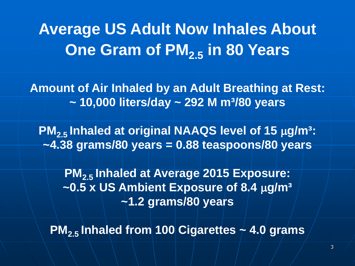# **Average US Adult Now Inhales About One Gram of PM2.5 in 80 Years**

**Amount of Air Inhaled by an Adult Breathing at Rest: ~ 10,000 liters/day ~ 292 M m³/80 years**

**PM<sub>2.5</sub> Inhaled at original NAAQS level of 15**  $\mu$ **g/m<sup>3</sup>: ~4.38 grams/80 years = 0.88 teaspoons/80 years**

**PM2.5 Inhaled at Average 2015 Exposure:** ~0.5 x US Ambient Exposure of 8.4  $\mu$ g/m<sup>3</sup> **~1.2 grams/80 years**

**PM**<sub>2.5</sub> Inhaled from 100 Cigarettes  $\neq$  4.0 grams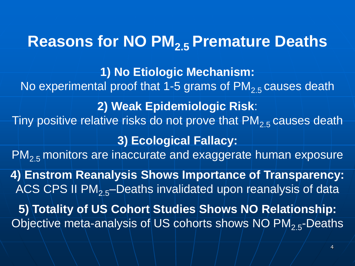# **Reasons for NO PM2.5 Premature Deaths**

**1) No Etiologic Mechanism:**  No experimental proof that 1-5 grams of  $PM<sub>2.5</sub>$  causes death **2) Weak Epidemiologic Risk**: Tiny positive relative risks do not prove that  $PM_{2.5}$  causes death **3) Ecological Fallacy:** PM<sub>2.5</sub> monitors are inaccurate and exaggerate human exposure **4) Enstrom Reanalysis Shows Importance of Transparency:**  ACS CPS II PM $_{2.5}$ -Deaths invalidated upon reanalysis of data **5) Totality of US Cohort Studies Shows NO Relationship:**  Objective meta-analysis of US cohorts shows NO PM<sub>2.5</sub>-Deaths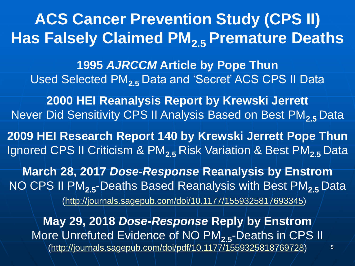**ACS Cancer Prevention Study (CPS II) Has Falsely Claimed PM2.5 Premature Deaths**

**1995** *AJRCCM* **Article by Pope Thun** Used Selected PM**2.5** Data and 'Secret' ACS CPS II Data

**2000 HEI Reanalysis Report by Krewski Jerrett** Never Did Sensitivity CPS II Analysis Based on Best PM**2.5** Data

**2009 HEI Research Report 140 by Krewski Jerrett Pope Thun**  Ignored CPS II Criticism & PM**2.5** Risk Variation & Best PM**2.5** Data

**March 28, 2017** *Dose-Response* **Reanalysis by Enstrom**  NO CPS II PM**2.5**-Deaths Based Reanalysis with Best PM**2.5** Data (<http://journals.sagepub.com/doi/10.1177/1559325817693345>)

**May 29, 2018** *Dose-Response* **Reply by Enstrom** More Unrefuted Evidence of NO PM<sub>25</sub>-Deaths in CPS II [\(http://journals.sagepub.com/doi/pdf/10.1177/1559325818769728\)](http://journals.sagepub.com/doi/pdf/10.1177/1559325818769728)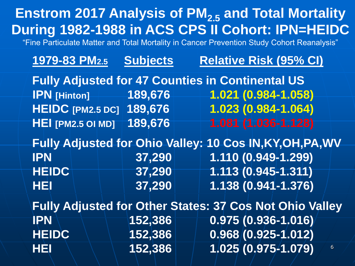|                                                                            |                               | <b>Enstrom 2017 Analysis of PM<sub>2.5</sub> and Total Mortality</b><br>During 1982-1988 in ACS CPS II Cohort: IPN=HEIDC<br>"Fine Particulate Matter and Total Mortality in Cancer Prevention Study Cohort Reanalysis" |
|----------------------------------------------------------------------------|-------------------------------|------------------------------------------------------------------------------------------------------------------------------------------------------------------------------------------------------------------------|
| 1979-83 PM2.5                                                              | <b>Subjects</b>               | <b>Relative Risk (95% CI)</b>                                                                                                                                                                                          |
| <b>IPN</b> [Hinton]<br><b>HEIDC</b> [PM2.5 DC]<br><b>HEI [PM2.5 OI MD]</b> | 189,676<br>189,676<br>189,676 | <b>Fully Adjusted for 47 Counties in Continental US</b><br>1.021 (0.984-1.058)<br>1.023 (0.984-1.064)<br>1.081 (1.036-1.128)                                                                                           |
| <b>IPN</b><br><b>HEIDC</b><br>HEI                                          | 37,290<br>37,290<br>37,290    | Fully Adjusted for Ohio Valley: 10 Cos IN, KY, OH, PA, WV<br>1.110 (0.949-1.299)<br>$1.113(0.945 - 1.311)$<br>1.138 (0.941-1.376)                                                                                      |
| <b>IPN</b><br><b>HEIDC</b><br>HÉI                                          | 152,386<br>152,386<br>152,386 | <b>Fully Adjusted for Other States: 37 Cos Not Ohio Valley</b><br>$0.975(0.936 - 1.016)$<br>$0.968(0.925 - 1.012)$<br>1.025 (0.975-1.079)<br>$6\phantom{1}$                                                            |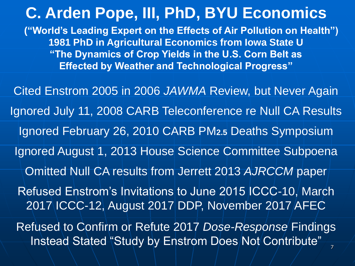Instead Stated "Study by Enstrom Does Not Contribute" **C. Arden Pope, III, PhD, BYU Economics ("World's Leading Expert on the Effects of Air Pollution on Health") 1981 PhD in Agricultural Economics from Iowa State U "The Dynamics of Crop Yields in the U.S. Corn Belt as Effected by Weather and Technological Progress"**  Cited Enstrom 2005 in 2006 *JAWMA* Review, but Never Again Ignored July 11, 2008 CARB Teleconference re Null CA Results Ignored February 26, 2010 CARB PM**2.5** Deaths Symposium Ignored August 1, 2013 House Science Committee Subpoena Omitted Null CA results from Jerrett 2013 *AJRCCM* paper Refused Enstrom's Invitations to June 2015 ICCC-10, March 2017 ICCC-12, August 2017 DDP, November 2017 AFEC Refused to Confirm or Refute 2017 *Dose-Response* Findings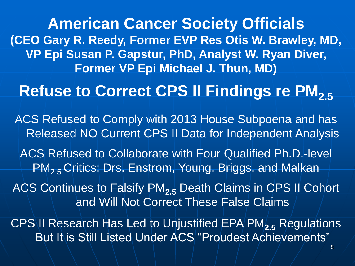**American Cancer Society Officials (CEO Gary R. Reedy, Former EVP Res Otis W. Brawley, MD, VP Epi Susan P. Gapstur, PhD, Analyst W. Ryan Diver, Former VP Epi Michael J. Thun, MD)**

**Refuse to Correct CPS II Findings re PM<sub>2.5</sub>** 

ACS Refused to Comply with 2013 House Subpoena and has Released NO Current CPS II Data for Independent Analysis

ACS Refused to Collaborate with Four Qualified Ph.D.-level PM<sub>2.5</sub> Critics: Drs. Enstrom, Young, Briggs, and Malkan

ACS Continues to Falsify PM**2.5** Death Claims in CPS II Cohort and Will Not Correct These False Claims

CPS II Research Has Led to Unjustified EPA PM**2.5** Regulations But It is Still Listed Under ACS "Proudest Achievements"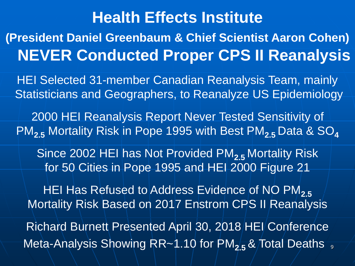# Meta-Analysis Showing RR~1.10 for PM<sub>2.5</sub> & Total Deaths <sub>9</sub> **Health Effects Institute (President Daniel Greenbaum & Chief Scientist Aaron Cohen) NEVER Conducted Proper CPS II Reanalysis** HEI Selected 31-member Canadian Reanalysis Team, mainly Statisticians and Geographers, to Reanalyze US Epidemiology 2000 HEI Reanalysis Report Never Tested Sensitivity of PM**2.5** Mortality Risk in Pope 1995 with Best PM**2.5** Data & SO**<sup>4</sup>** Since 2002 HEI has Not Provided PM**2.5** Mortality Risk for 50 Cities in Pope 1995 and HEI 2000 Figure 21 HEI Has Refused to Address Evidence of NO PM<sub>2.5</sub> Mortality Risk Based on 2017 Enstrom CPS II Reanalysis Richard Burnett Presented April 30, 2018 HEI Conference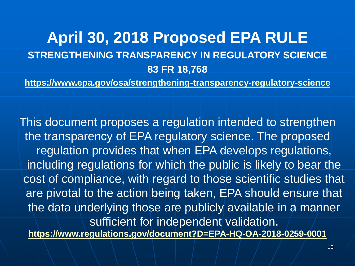### **April 30, 2018 Proposed EPA RULE STRENGTHENING TRANSPARENCY IN REGULATORY SCIENCE 83 FR 18,768**

**<https://www.epa.gov/osa/strengthening-transparency-regulatory-science>**

This document proposes a regulation intended to strengthen the transparency of EPA regulatory science. The proposed regulation provides that when EPA develops regulations, including regulations for which the public is likely to bear the cost of compliance, with regard to those scientific studies that are pivotal to the action being taken, EPA should ensure that the data underlying those are publicly available in a manner sufficient for independent validation.

**<https://www.regulations.gov/document?D=EPA-HQ-OA-2018-0259-0001>**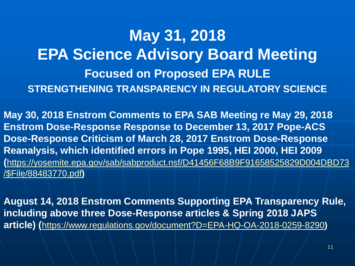# **May 31, 2018 EPA Science Advisory Board Meeting Focused on Proposed EPA RULE STRENGTHENING TRANSPARENCY IN REGULATORY SCIENCE**

**May 30, 2018 Enstrom Comments to EPA SAB Meeting re May 29, 2018 Enstrom Dose-Response Response to December 13, 2017 Pope-ACS Dose-Response Criticism of March 28, 2017 Enstrom Dose-Response Reanalysis, which identified errors in Pope 1995, HEI 2000, HEI 2009 (**[https://yosemite.epa.gov/sab/sabproduct.nsf/D41456F68B9F91658525829D004DBD73](https://yosemite.epa.gov/sab/sabproduct.nsf/D41456F68B9F91658525829D004DBD73/$File/88483770.pdf) /\$File/88483770.pdf**)** 

**August 14, 2018 Enstrom Comments Supporting EPA Transparency Rule, including above three Dose-Response articles & Spring 2018 JAPS article) (**<https://www.regulations.gov/document?D=EPA-HQ-OA-2018-0259-8290>**)**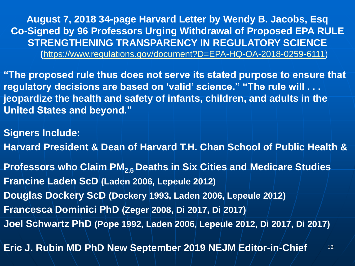**August 7, 2018 34-page Harvard Letter by Wendy B. Jacobs, Esq Co-Signed by 96 Professors Urging Withdrawal of Proposed EPA RULE STRENGTHENING TRANSPARENCY IN REGULATORY SCIENCE (**<https://www.regulations.gov/document?D=EPA-HQ-OA-2018-0259-6111>)

**"The proposed rule thus does not serve its stated purpose to ensure that regulatory decisions are based on 'valid' science." "The rule will . . . jeopardize the health and safety of infants, children, and adults in the United States and beyond."**

**Signers Include:**

**Harvard President & Dean of Harvard T.H. Chan School of Public Health &**

**Professors who Claim PM2.5 Deaths in Six Cities and Medicare Studies Francine Laden ScD (Laden 2006, Lepeule 2012) Douglas Dockery ScD (Dockery 1993, Laden 2006, Lepeule 2012) Francesca Dominici PhD (Zeger 2008, Di 2017, Di 2017) Joel Schwartz PhD (Pope 1992, Laden 2006, Lepeule 2012, Di 2017, Di 2017)**

12 **Eric J. Rubin MD PhD New September 2019 NEJM Editor-in-Chief**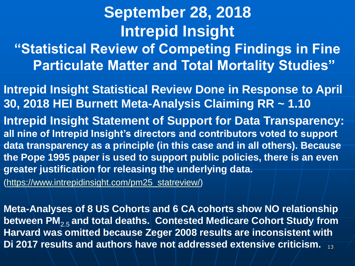# **September 28, 2018 Intrepid Insight "Statistical Review of Competing Findings in Fine Particulate Matter and Total Mortality Studies"**

**Intrepid Insight Statistical Review Done in Response to April 30, 2018 HEI Burnett Meta-Analysis Claiming RR ~ 1.10**

**Intrepid Insight Statement of Support for Data Transparency: all nine of Intrepid Insight's directors and contributors voted to support data transparency as a principle (in this case and in all others). Because the Pope 1995 paper is used to support public policies, there is an even greater justification for releasing the underlying data.**

[\(https://www.intrepidinsight.com/pm25\\_statreview/\)](https://www.intrepidinsight.com/pm25_statreview/)

13 **Di 2017 results and authors have not addressed extensive criticism.Meta-Analyses of 8 US Cohorts and 6 CA cohorts show NO relationship between PM**2.5 **and total deaths. Contested Medicare Cohort Study from Harvard was omitted because Zeger 2008 results are inconsistent with**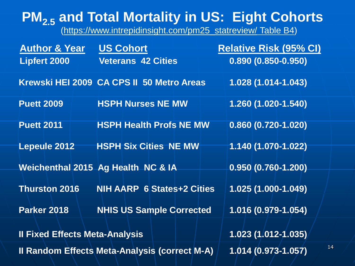### **PM2.5 and Total Mortality in US: Eight Cohorts**

[\(https://www.intrepidinsight.com/pm25\\_statreview/](https://www.intrepidinsight.com/pm25_statreview/) Table B4)

| <b>Author &amp; Year</b>              | <b>US Cohort</b>                                     | <b>Relative Risk (95% CI)</b> |
|---------------------------------------|------------------------------------------------------|-------------------------------|
| <b>Lipfert 2000</b>                   | <b>Veterans 42 Cities</b>                            | $0.890(0.850 - 0.950)$        |
|                                       | Krewski HEI 2009 CA CPS II 50 Metro Areas            | 1.028 (1.014-1.043)           |
| <b>Puett 2009</b>                     | <b>HSPH Nurses NE MW</b>                             | 1.260 (1.020-1.540)           |
| <b>Puett 2011</b>                     | <b>HSPH Health Profs NE MW</b>                       | $0.860(0.720 - 1.020)$        |
| Lepeule 2012                          | <b>HSPH Six Cities NE MW</b>                         | $1.140(1.070-1.022)$          |
|                                       | Weichenthal 2015 Ag Health NC & IA                   | $0.950(0.760-1.200)$          |
| <b>Thurston 2016</b>                  | <b>NIH AARP 6 States+2 Cities</b>                    | 1.025 (1.000-1.049)           |
| <b>Parker 2018</b>                    | <b>NHIS US Sample Corrected</b>                      | 1.016 (0.979-1.054)           |
| <b>Il Fixed Effects Meta-Analysis</b> |                                                      | $1.023(1/012-1.035)$          |
|                                       | <b>Il Random Effects Meta-Analysis (correct M-A)</b> | 1.014 (0.973-1.057)           |

14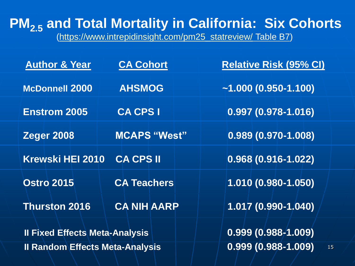**PM2.5 and Total Mortality in California: Six Cohorts** [\(https://www.intrepidinsight.com/pm25\\_statreview/](https://www.intrepidinsight.com/pm25_statreview/) Table B7)

| <b>Author &amp; Year</b>               | <b>CA Cohort</b>    | <b>Relative Risk (95% CI)</b>   |
|----------------------------------------|---------------------|---------------------------------|
| <b>McDonnell 2000</b>                  | <b>AHSMOG</b>       | $~1.000~(0.950-1.100)$          |
| <b>Enstrom 2005</b>                    | <b>CA CPS I</b>     | $0.997(0.978 - 1.016)$          |
| <b>Zeger 2008</b>                      | <b>MCAPS "West"</b> | $\overline{0.989(0.970-1.008)}$ |
| <b>Krewski HEI 2010</b>                | <b>CA CPS II</b>    | $0.968(0.916-1.022)$            |
| <b>Ostro 2015</b>                      | <b>CA Teachers</b>  | 1.010 (0.980-1.050)             |
| <b>Thurston 2016</b>                   | <b>CA NIH AARP</b>  | 1.017 (0.990-1.040)             |
| <b>Il Fixed Effects Meta-Analysis</b>  |                     | $0.999(0.988 - 1.009)$          |
| <b>Il Random Effects Meta-Analysis</b> |                     | $0.999(0.988 - 1.009)$<br>15    |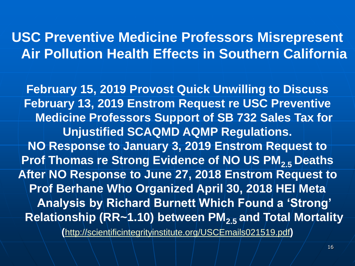### **USC Preventive Medicine Professors Misrepresent Air Pollution Health Effects in Southern California**

**February 15, 2019 Provost Quick Unwilling to Discuss February 13, 2019 Enstrom Request re USC Preventive Medicine Professors Support of SB 732 Sales Tax for Unjustified SCAQMD AQMP Regulations. NO Response to January 3, 2019 Enstrom Request to Prof Thomas re Strong Evidence of NO US PM2.5 Deaths After NO Response to June 27, 2018 Enstrom Request to Prof Berhane Who Organized April 30, 2018 HEI Meta Analysis by Richard Burnett Which Found a 'Strong' Relationship (RR~1.10) between PM2.5 and Total Mortality**

**(**<http://scientificintegrityinstitute.org/USCEmails021519.pdf>**)**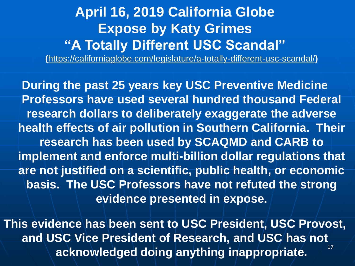### **April 16, 2019 California Globe Expose by Katy Grimes "A Totally Different USC Scandal"**

**(**<https://californiaglobe.com/legislature/a-totally-different-usc-scandal/>**)**

**During the past 25 years key USC Preventive Medicine Professors have used several hundred thousand Federal research dollars to deliberately exaggerate the adverse health effects of air pollution in Southern California. Their research has been used by SCAQMD and CARB to implement and enforce multi-billion dollar regulations that are not justified on a scientific, public health, or economic basis. The USC Professors have not refuted the strong evidence presented in expose.**

17 **This evidence has been sent to USC President, USC Provost, and USC Vice President of Research, and USC has not acknowledged doing anything inappropriate.**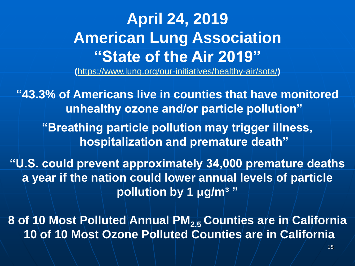# **April 24, 2019 American Lung Association "State of the Air 2019"**

**(**<https://www.lung.org/our-initiatives/healthy-air/sota/>**)**

**"43.3% of Americans live in counties that have monitored unhealthy ozone and/or particle pollution"**

**"Breathing particle pollution may trigger illness, hospitalization and premature death"**

**"U.S. could prevent approximately 34,000 premature deaths a year if the nation could lower annual levels of particle pollution by 1 μg/m³ "**

**8 of 10 Most Polluted Annual PM2.5 Counties are in California 10 of 10 Most Ozone Polluted Counties are in California**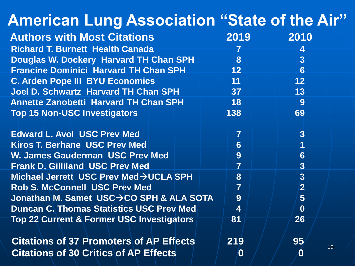| <b>American Lung Association "State of the Air"</b>  |                         |                         |
|------------------------------------------------------|-------------------------|-------------------------|
| <b>Authors with Most Citations</b>                   | 2019                    | 2010                    |
| <b>Richard T. Burnett Health Canada</b>              |                         | $\overline{\mathbf{4}}$ |
| <b>Douglas W. Dockery Harvard TH Chan SPH</b>        | 8                       | 3                       |
| <b>Francine Dominici Harvard TH Chan SPH</b>         | 12 <sup>°</sup>         | $6\phantom{1}6$         |
| <b>C. Arden Pope III BYU Economics</b>               | 11                      | 12 <sub>2</sub>         |
| <b>Joel D. Schwartz Harvard TH Chan SPH</b>          | 37 <sup>°</sup>         | 13                      |
| <b>Annette Zanobetti Harvard TH Chan SPH</b>         | 18 <sup>°</sup>         | 9                       |
| <b>Top 15 Non-USC Investigators</b>                  | 138                     | 69                      |
| <b>Edward L. Avol USC Prev Med</b>                   | $\overline{7}$          | 3 <sup>1</sup>          |
| Kiros T. Berhane USC Prev Med                        | 6                       |                         |
| <b>W. James Gauderman USC Prev Med</b>               | 9                       | $6\phantom{1}6$         |
| <b>Frank D. Gilliland USC Prev Med</b>               | $\overline{7}$          | $\overline{3}$          |
| Michael Jerrett USC Prev Med->UCLA SPH               | 8                       | $\overline{3}$          |
| <b>Rob S. McConnell USC Prev Med</b>                 | $\overline{7}$          | $\overline{2}$          |
| Jonathan M. Samet USC→CO SPH & ALA SOTA              | 9                       | $5\overline{)}$         |
| <b>Duncan C. Thomas Statistics USC Prev Med.</b>     | $\overline{\mathbf{4}}$ | $\bf{0}$                |
| <b>Top 22 Current &amp; Former USC Investigators</b> | 81                      | 26                      |
| <b>Citations of 37 Promoters of AP Effects</b>       | 219                     | 95                      |
| <b>Citations of 30 Critics of AP Effects</b>         | $\boldsymbol{0}$        | 19<br>$\boldsymbol{0}$  |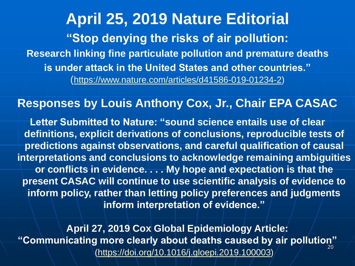**April 25, 2019 Nature Editorial "Stop denying the risks of air pollution: Research linking fine particulate pollution and premature deaths is under attack in the United States and other countries."**  (<https://www.nature.com/articles/d41586-019-01234-2>)

#### **Responses by Louis Anthony Cox, Jr., Chair EPA CASAC**

**Letter Submitted to Nature: "sound science entails use of clear definitions, explicit derivations of conclusions, reproducible tests of predictions against observations, and careful qualification of causal interpretations and conclusions to acknowledge remaining ambiguities or conflicts in evidence. . . . My hope and expectation is that the present CASAC will continue to use scientific analysis of evidence to inform policy, rather than letting policy preferences and judgments inform interpretation of evidence."**

20 **April 27, 2019 Cox Global Epidemiology Article: "Communicating more clearly about deaths caused by air pollution"**  [\(https://doi.org/10.1016/j.gloepi.2019.100003\)](https://doi.org/10.1016/j.gloepi.2019.100003)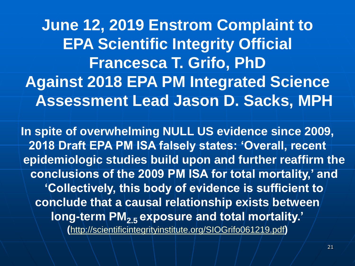**June 12, 2019 Enstrom Complaint to EPA Scientific Integrity Official Francesca T. Grifo, PhD Against 2018 EPA PM Integrated Science Assessment Lead Jason D. Sacks, MPH**

**In spite of overwhelming NULL US evidence since 2009, 2018 Draft EPA PM ISA falsely states: 'Overall, recent epidemiologic studies build upon and further reaffirm the conclusions of the 2009 PM ISA for total mortality,' and 'Collectively, this body of evidence is sufficient to conclude that a causal relationship exists between long-term PM2.5 exposure and total mortality.' (**[http://scientificintegrityinstitute.org/SIOGrifo061219.pdf](http://scientificintegrityinstitute.org/USCEmails021519.pdf)**)**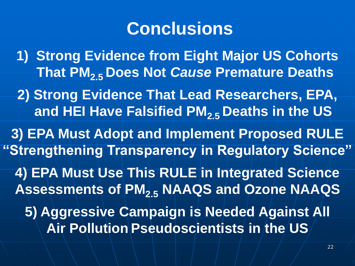# **Conclusions**

**1) Strong Evidence from Eight Major US Cohorts That PM2.5 Does Not** *Cause* **Premature Deaths**

**2) Strong Evidence That Lead Researchers, EPA, and HEI Have Falsified PM2.5 Deaths in the US**

**3) EPA Must Adopt and Implement Proposed RULE "Strengthening Transparency in Regulatory Science" 4) EPA Must Use This RULE in Integrated Science Assessments of PM2.5 NAAQS and Ozone NAAQS 5) Aggressive Campaign is Needed Against All Air Pollution Pseudoscientists in the US**

22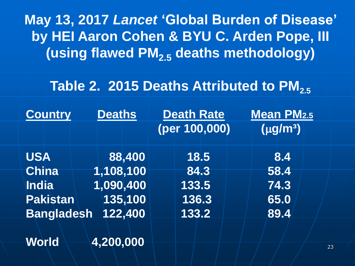**May 13, 2017** *Lancet* **'Global Burden of Disease' by HEI Aaron Cohen & BYU C. Arden Pope, III (using flawed PM2.5 deaths methodology)**

#### Table 2. 2015 Deaths Attributed to PM<sub>25</sub>

| <b>Country</b>    | <b>Deaths</b> | <b>Death Rate</b> | <b>Mean PM2.5</b> |
|-------------------|---------------|-------------------|-------------------|
|                   |               | (per 100,000)     | $(\mu g/m^3)$     |
| <b>USA</b>        | 88,400        | 18.5              | 8.4               |
| <b>China</b>      | 1,108,100     | 84.3              | 58.4              |
| India             | 1,090,400     | 133.5             | 74.3              |
| <b>Pakistan</b>   | 135,100       | 136.3             | 65.0              |
| <b>Bangladesh</b> | 122,400       | 133.2             | 89.4              |
|                   |               |                   |                   |

**World 4,200,000**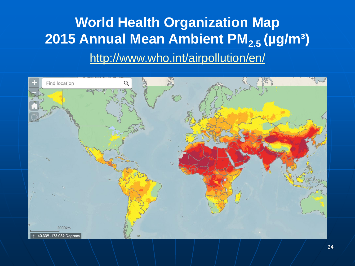### **World Health Organization Map 2015 Annual Mean Ambient PM2.5 (µg/m³)**  <http://www.who.int/airpollution/en/>